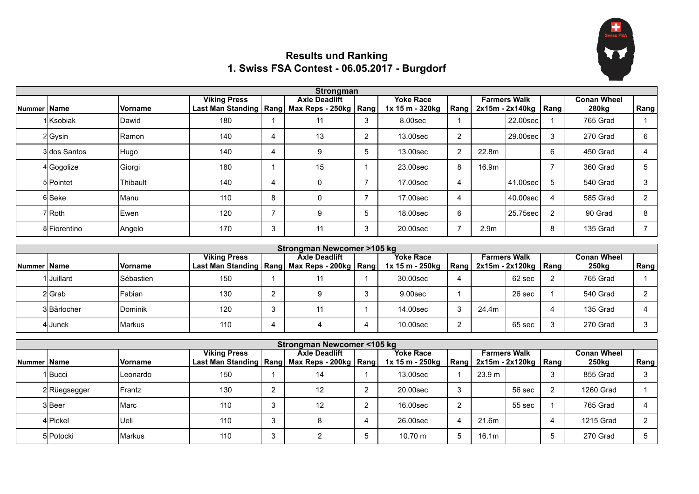

## **Results und Ranking 1. Swiss FSA Contest - 06.05.2017 - Burgdorf**

|                    | Strongman    |                  |                                                                           |                |                      |        |                                     |      |                  |                                                 |                |                             |      |
|--------------------|--------------|------------------|---------------------------------------------------------------------------|----------------|----------------------|--------|-------------------------------------|------|------------------|-------------------------------------------------|----------------|-----------------------------|------|
| <b>Nummer Name</b> |              | <b>Vorname</b>   | <b>Viking Press</b><br>Last Man Standing   Rang   Max Reps - 250kg   Rang |                | <b>Axle Deadlift</b> |        | <b>Yoke Race</b><br>1x 15 m - 320kg | Rang |                  | <b>Farmers Walk</b><br>$2x15m - 2x140kg$   Rang |                | <b>Conan Wheel</b><br>280kg | Rang |
|                    | 1 Ksobiak    | <b>IDawid</b>    | 180                                                                       |                | 11                   | $\sim$ | 8.00sec                             |      |                  | 22.00sec                                        |                | 765 Grad                    |      |
|                    | $2 G$ ysin   | <b>IRamon</b>    | 140                                                                       | 4              | 13                   |        | 13.00sec                            | c    |                  | 29.00sec                                        |                | 270 Grad                    | 6    |
|                    | 3 dos Santos | Hugo             | 140                                                                       | 4              | 9                    |        | 13.00sec                            |      | 22.8m            |                                                 | 6              | 450 Grad                    | 4    |
|                    | 4 Gogolize   | Giorgi           | 180                                                                       |                | 15                   |        | 23.00sec                            | 8    | 16.9m            |                                                 |                | 360 Grad                    | 5    |
|                    | 5 Pointet    | <b>IThibault</b> | 140                                                                       | 4              | 0                    |        | 17.00sec                            |      |                  | 41.00sec                                        | 5              | 540 Grad                    | 3    |
|                    | 6 Seke       | Manu             | 110                                                                       | 8              | 0                    |        | 17.00sec                            |      |                  | 40.00sec                                        |                | 585 Grad                    | 2    |
|                    | 7Roth        | Ewen             | 120                                                                       | $\overline{ }$ | 9                    |        | 18.00sec                            | 6    |                  | 25.75sec                                        | $\overline{2}$ | 90 Grad                     | 8    |
|                    | 8 Fiorentino | Angelo           | 170                                                                       | 3              | 11                   |        | 20,00sec                            |      | 2.9 <sub>m</sub> |                                                 | 8              | 135 Grad                    |      |

|                    | Strongman Newcomer >105 kg |                 |                                                    |   |                      |  |                  |   |       |                               |  |                   |      |
|--------------------|----------------------------|-----------------|----------------------------------------------------|---|----------------------|--|------------------|---|-------|-------------------------------|--|-------------------|------|
|                    |                            |                 | <b>Viking Press</b>                                |   | <b>Axle Deadlift</b> |  | <b>Yoke Race</b> |   |       | <b>Farmers Walk</b>           |  | Conan Wheel       |      |
| <b>Nummer Name</b> |                            | <b>Vorname</b>  | Last Man Standing   Rang   Max Reps - 200kg   Rang |   |                      |  | 1x 15 m - 250kg  |   |       | Rang   2x15m - 2x120kg   Rang |  | 250 <sub>kg</sub> | Rang |
|                    | 1lJuillard                 | ISébastien      | 150                                                |   |                      |  | 30.00sec         |   |       | 62 sec                        |  | 765 Grad          |      |
|                    | 2 Grab                     | lFabian.        | 130                                                |   |                      |  | 9.00sec          |   |       | 26 sec                        |  | 540 Grad          |      |
|                    | 3 Bärlocher                | <b>IDominik</b> | 120                                                |   |                      |  | 14.00sec         |   | 24.4m |                               |  | 135 Grad          |      |
|                    | 4lJunck                    | IMarkus         | 110                                                | 4 |                      |  | 10.00sec         | c |       | 65 sec                        |  | 270 Grad          |      |

|              | Strongman Newcomer <105 kg |                |                                                                           |        |                      |   |                                     |             |                                               |        |    |                                         |      |  |
|--------------|----------------------------|----------------|---------------------------------------------------------------------------|--------|----------------------|---|-------------------------------------|-------------|-----------------------------------------------|--------|----|-----------------------------------------|------|--|
| Nummer  Name |                            | <b>Vorname</b> | <b>Viking Press</b><br>Last Man Standing   Rang   Max Reps - 200kg   Rang |        | <b>Axle Deadlift</b> |   | <b>Yoke Race</b><br>1x 15 m - 250kg | <b>Rang</b> | <b>Farmers Walk</b><br>$2x15m - 2x120kg$ Rang |        |    | <b>Conan Wheel</b><br>250 <sub>kg</sub> | Rang |  |
|              | 1lBucci                    | ILeonardo      | 150                                                                       |        | 14                   |   | 13.00sec                            |             | 23.9 m                                        |        | 3  | 855 Grad                                |      |  |
|              | 2 Rüegsegger               | <b>IFrantz</b> | 130                                                                       | ົ      | 12                   |   | 20.00sec                            |             |                                               | 56 sec | 2  | 1260 Grad                               |      |  |
|              | 3 Beer                     | lMarc          | 110                                                                       | 3      | 12                   |   | 16.00sec                            |             |                                               | 55 sec |    | 765 Grad                                |      |  |
|              | 4 Pickel                   | lUeli          | 110                                                                       | ົ<br>C |                      |   | 26.00sec                            | 4           | 21.6m                                         |        | 4  | 1215 Grad                               |      |  |
|              | 5 Potocki                  | <b>IMarkus</b> | 110                                                                       | ◠<br>C |                      | b | $10.70 \text{ m}$                   | :5          | 16.1m                                         |        | .5 | 270 Grad                                |      |  |